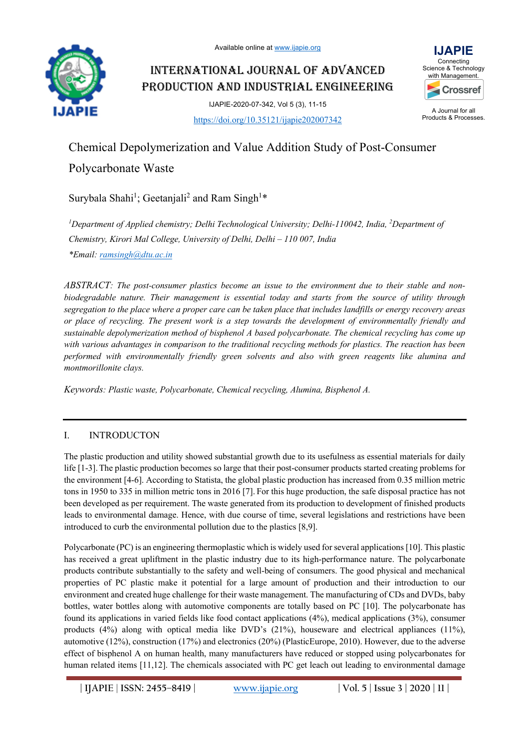

# INTERNATIONAL JOURNAL OF ADVANCED PRODUCTION AND INDUSTRIAL ENGINEERING

IJAPIE-2020-07-342, Vol 5 (3), 11-15 https://doi.org/10.35121/ijapie202007342



A Journal for all Products & Processes.

# Chemical Depolymerization and Value Addition Study of Post-Consumer

# Polycarbonate Waste

Surybala Shahi<sup>1</sup>; Geetanjali<sup>2</sup> and Ram Singh<sup>1\*</sup>

<sup>1</sup>Department of Applied chemistry; Delhi Technological University; Delhi-110042, India, <sup>2</sup>Department of *Chemistry, Kirori Mal College, University of Delhi, Delhi – 110 007, India \*Email: ramsingh@dtu.ac.in*

*ABSTRACT: The post-consumer plastics become an issue to the environment due to their stable and nonbiodegradable nature. Their management is essential today and starts from the source of utility through segregation to the place where a proper care can be taken place that includes landfills or energy recovery areas or place of recycling. The present work is a step towards the development of environmentally friendly and sustainable depolymerization method of bisphenol A based polycarbonate. The chemical recycling has come up with various advantages in comparison to the traditional recycling methods for plastics. The reaction has been performed with environmentally friendly green solvents and also with green reagents like alumina and montmorillonite clays.* 

*Keywords: Plastic waste, Polycarbonate, Chemical recycling, Alumina, Bisphenol A.*

### I. INTRODUCTON

The plastic production and utility showed substantial growth due to its usefulness as essential materials for daily life [1-3].The plastic production becomes so large that their post-consumer products started creating problems for the environment [4-6]. According to Statista, the global plastic production has increased from 0.35 million metric tons in 1950 to 335 in million metric tons in 2016 [7]. For this huge production, the safe disposal practice has not been developed as per requirement. The waste generated from its production to development of finished products leads to environmental damage. Hence, with due course of time, several legislations and restrictions have been introduced to curb the environmental pollution due to the plastics [8,9].

Polycarbonate (PC) is an engineering thermoplastic which is widely used for several applications [10]. This plastic has received a great upliftment in the plastic industry due to its high-performance nature. The polycarbonate products contribute substantially to the safety and well-being of consumers. The good physical and mechanical properties of PC plastic make it potential for a large amount of production and their introduction to our environment and created huge challenge for their waste management. The manufacturing of CDs and DVDs, baby bottles, water bottles along with automotive components are totally based on PC [10]. The polycarbonate has found its applications in varied fields like food contact applications (4%), medical applications (3%), consumer products (4%) along with optical media like DVD's (21%), houseware and electrical appliances (11%), automotive (12%), construction (17%) and electronics (20%) (PlasticEurope, 2010). However, due to the adverse effect of bisphenol A on human health, many manufacturers have reduced or stopped using polycarbonates for human related items [11,12]. The chemicals associated with PC get leach out leading to environmental damage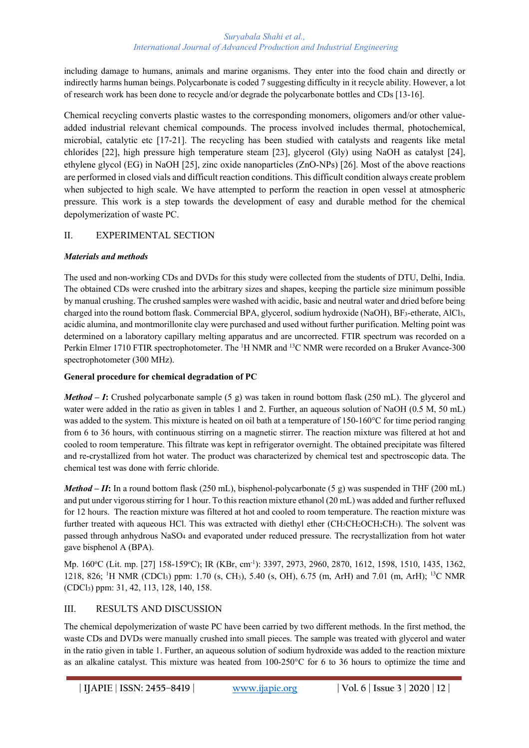including damage to humans, animals and marine organisms. They enter into the food chain and directly or indirectly harms human beings. Polycarbonate is coded 7 suggesting difficulty in it recycle ability. However, a lot of research work has been done to recycle and/or degrade the polycarbonate bottles and CDs [13-16].

Chemical recycling converts plastic wastes to the corresponding monomers, oligomers and/or other valueadded industrial relevant chemical compounds. The process involved includes thermal, photochemical, microbial, catalytic etc [17-21]. The recycling has been studied with catalysts and reagents like metal chlorides [22], high pressure high temperature steam [23], glycerol (Gly) using NaOH as catalyst [24], ethylene glycol (EG) in NaOH [25], zinc oxide nanoparticles (ZnO-NPs) [26]. Most of the above reactions are performed in closed vials and difficult reaction conditions. This difficult condition always create problem when subjected to high scale. We have attempted to perform the reaction in open vessel at atmospheric pressure. This work is a step towards the development of easy and durable method for the chemical depolymerization of waste PC.

### II. EXPERIMENTAL SECTION

### *Materials and methods*

The used and non-working CDs and DVDs for this study were collected from the students of DTU, Delhi, India. The obtained CDs were crushed into the arbitrary sizes and shapes, keeping the particle size minimum possible by manual crushing. The crushed samples were washed with acidic, basic and neutral water and dried before being charged into the round bottom flask. Commercial BPA, glycerol, sodium hydroxide (NaOH), BF3-etherate, AlCl3, acidic alumina, and montmorillonite clay were purchased and used without further purification. Melting point was determined on a laboratory capillary melting apparatus and are uncorrected. FTIR spectrum was recorded on a Perkin Elmer 1710 FTIR spectrophotometer. The <sup>1</sup>H NMR and <sup>13</sup>C NMR were recorded on a Bruker Avance-300 spectrophotometer (300 MHz).

### **General procedure for chemical degradation of PC**

*Method – I*: Crushed polycarbonate sample (5 g) was taken in round bottom flask (250 mL). The glycerol and water were added in the ratio as given in tables 1 and 2. Further, an aqueous solution of NaOH (0.5 M, 50 mL) was added to the system. This mixture is heated on oil bath at a temperature of 150-160°C for time period ranging from 6 to 36 hours, with continuous stirring on a magnetic stirrer. The reaction mixture was filtered at hot and cooled to room temperature. This filtrate was kept in refrigerator overnight. The obtained precipitate was filtered and re-crystallized from hot water. The product was characterized by chemical test and spectroscopic data. The chemical test was done with ferric chloride.

*Method – II*: In a round bottom flask (250 mL), bisphenol-polycarbonate (5 g) was suspended in THF (200 mL) and put under vigorous stirring for 1 hour. To this reaction mixture ethanol (20 mL) was added and further refluxed for 12 hours. The reaction mixture was filtered at hot and cooled to room temperature. The reaction mixture was further treated with aqueous HCl. This was extracted with diethyl ether (CH<sub>3</sub>CH<sub>2</sub>OCH<sub>2</sub>CH<sub>3</sub>). The solvent was passed through anhydrous NaSO4 and evaporated under reduced pressure. The recrystallization from hot water gave bisphenol A (BPA).

Mp. 160°C (Lit. mp. [27] 158-159°C); IR (KBr, cm<sup>-1</sup>): 3397, 2973, 2960, 2870, 1612, 1598, 1510, 1435, 1362, 1218, 826; <sup>1</sup>H NMR (CDCl<sub>3</sub>) ppm: 1.70 (s, CH<sub>3</sub>), 5.40 (s, OH), 6.75 (m, ArH) and 7.01 (m, ArH); <sup>13</sup>C NMR (CDCl3) ppm: 31, 42, 113, 128, 140, 158.

### III. RESULTS AND DISCUSSION

The chemical depolymerization of waste PC have been carried by two different methods. In the first method, the waste CDs and DVDs were manually crushed into small pieces. The sample was treated with glycerol and water in the ratio given in table 1. Further, an aqueous solution of sodium hydroxide was added to the reaction mixture as an alkaline catalyst. This mixture was heated from 100-250°C for 6 to 36 hours to optimize the time and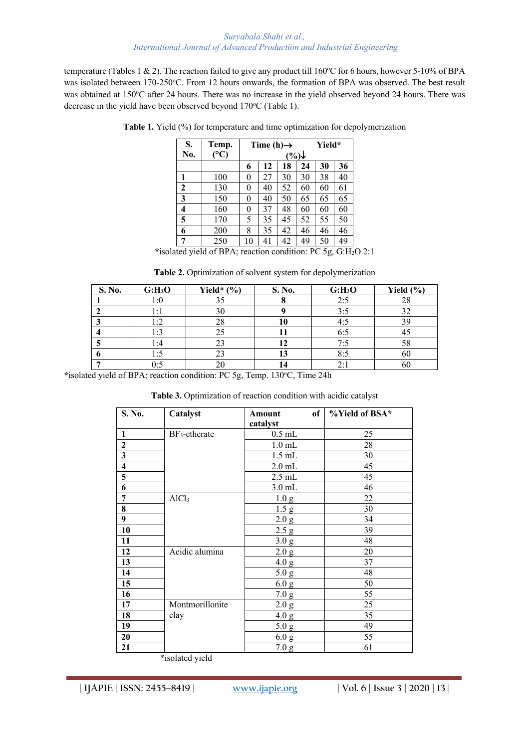temperature (Tables 1 & 2). The reaction failed to give any product till  $160^{\circ}$ C for 6 hours, however 5-10% of BPA was isolated between 170-250°C. From 12 hours onwards, the formation of BPA was observed. The best result was obtained at 150°C after 24 hours. There was no increase in the yield observed beyond 24 hours. There was decrease in the yield have been observed beyond 170°C (Table 1).

| S.           | Temp. | Time (h) $\rightarrow$ |    |    | Yield* |    |    |
|--------------|-------|------------------------|----|----|--------|----|----|
| No.          | (C)   | $(\%) \downarrow$      |    |    |        |    |    |
|              |       | 6                      | 12 | 18 | 24     | 30 | 36 |
| 1            | 100   | 0                      | 27 | 30 | 30     | 38 | 40 |
| $\mathbf{2}$ | 130   | 0                      | 40 | 52 | 60     | 60 | 61 |
| 3            | 150   | 0                      | 40 | 50 | 65     | 65 | 65 |
| 4            | 160   | 0                      | 37 | 48 | 60     | 60 | 60 |
| 5            | 170   | 5                      | 35 | 45 | 52     | 55 | 50 |
| 6            | 200   | 8                      | 35 | 42 | 46     | 46 | 46 |
| 7            | 250   | 10                     | 41 | 42 | 49     | 50 | 49 |

**Table 1.** Yield (%) for temperature and time optimization for depolymerization

**\***isolated yield of BPA; reaction condition: PC 5g, G:H2O 2:1

| S. No. | G: H <sub>2</sub> O | Yield* $(\% )$ | S. No. | G: H <sub>2</sub> O | Yield $(\% )$ |
|--------|---------------------|----------------|--------|---------------------|---------------|
|        | 1:0                 |                |        | 2:5                 | 28            |
|        | l : l               | 30             |        | 3:5                 |               |
|        | 1:2                 | 28             |        | 4:5                 |               |
|        | 1:3                 |                |        | 6:5                 | 41            |
|        | 1:4                 |                |        | 7:5                 | 58            |
|        | 1:5                 |                |        | 8:5                 | 60            |
|        | 0:5                 |                |        | 2:1                 | 60            |

**Table 2.** Optimization of solvent system for depolymerization

\*isolated yield of BPA; reaction condition: PC 5g, Temp. 130°C, Time 24h

**Table 3.** Optimization of reaction condition with acidic catalyst

| S. No.                  | Catalyst                            | of <sub>1</sub><br><b>Amount</b> | %Yield of BSA* |
|-------------------------|-------------------------------------|----------------------------------|----------------|
|                         |                                     | catalyst                         |                |
| 1                       | $BF_3$ -etherate                    | $0.5$ mL                         | 25             |
| $\mathbf{2}$            |                                     | $1.0$ mL                         | 28             |
| $\overline{\mathbf{3}}$ |                                     | $1.5$ mL                         | 30             |
| $\boldsymbol{4}$        |                                     | $2.0$ mL                         | 45             |
| 5                       |                                     | $2.5$ mL                         | 45             |
| 6                       |                                     | $3.0$ mL                         | 46             |
| 7                       | AICl <sub>3</sub>                   | 1.0 <sub>g</sub>                 | 22             |
| 8                       |                                     | 1.5 <sub>g</sub>                 | 30             |
| $\boldsymbol{9}$        |                                     | 2.0 g                            | 34             |
| 10                      |                                     | 2.5 g                            | 39             |
| 11                      |                                     | 3.0 <sub>g</sub>                 | 48             |
| 12                      | Acidic alumina                      | 2.0 g                            | 20             |
| 13                      |                                     | 4.0 g                            | 37             |
| 14                      |                                     | 5.0 g                            | 48             |
| 15                      |                                     | 6.0 g                            | 50             |
| 16                      |                                     | 7.0 g                            | 55             |
| 17                      | Montmorillonite                     | 2.0 g                            | 25             |
| 18                      | clay                                | 4.0 g                            | 35             |
| 19                      |                                     | 5.0 g                            | 49             |
| 20                      |                                     | 6.0 g                            | 55             |
| 21                      | <b>ALC: YES A REPORT OF A STATE</b> | 7.0 g                            | 61             |

\*isolated yield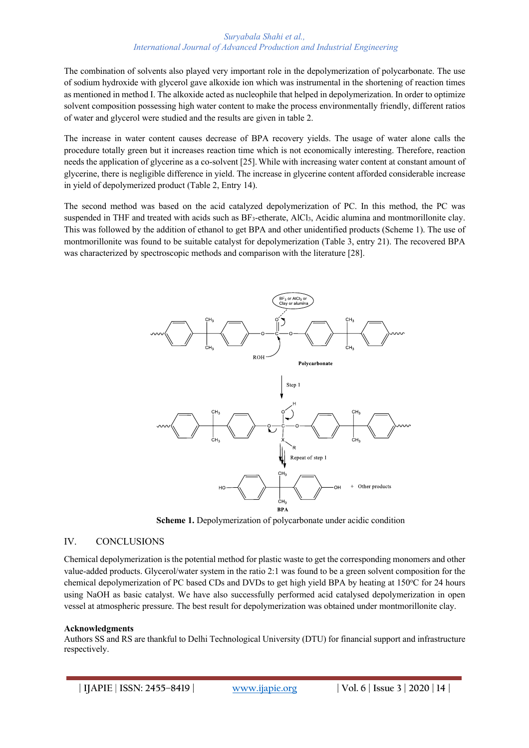The combination of solvents also played very important role in the depolymerization of polycarbonate. The use of sodium hydroxide with glycerol gave alkoxide ion which was instrumental in the shortening of reaction times as mentioned in method I. The alkoxide acted as nucleophile that helped in depolymerization. In order to optimize solvent composition possessing high water content to make the process environmentally friendly, different ratios of water and glycerol were studied and the results are given in table 2.

The increase in water content causes decrease of BPA recovery yields. The usage of water alone calls the procedure totally green but it increases reaction time which is not economically interesting. Therefore, reaction needs the application of glycerine as a co-solvent [25].While with increasing water content at constant amount of glycerine, there is negligible difference in yield. The increase in glycerine content afforded considerable increase in yield of depolymerized product (Table 2, Entry 14).

The second method was based on the acid catalyzed depolymerization of PC. In this method, the PC was suspended in THF and treated with acids such as BF<sub>3</sub>-etherate, AlCl<sub>3</sub>, Acidic alumina and montmorillonite clay. This was followed by the addition of ethanol to get BPA and other unidentified products (Scheme 1). The use of montmorillonite was found to be suitable catalyst for depolymerization (Table 3, entry 21). The recovered BPA was characterized by spectroscopic methods and comparison with the literature [28].



**Scheme 1.** Depolymerization of polycarbonate under acidic condition

### IV. CONCLUSIONS

Chemical depolymerization is the potential method for plastic waste to get the corresponding monomers and other value-added products. Glycerol/water system in the ratio 2:1 was found to be a green solvent composition for the chemical depolymerization of PC based CDs and DVDs to get high yield BPA by heating at 150°C for 24 hours using NaOH as basic catalyst. We have also successfully performed acid catalysed depolymerization in open vessel at atmospheric pressure. The best result for depolymerization was obtained under montmorillonite clay.

#### **Acknowledgments**

Authors SS and RS are thankful to Delhi Technological University (DTU) for financial support and infrastructure respectively.